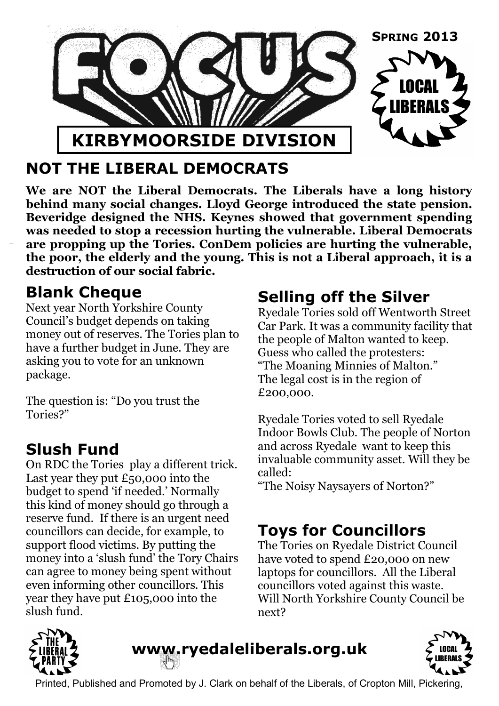

## **NOT THE LIBERAL DEMOCRATS**

**We are NOT the Liberal Democrats. The Liberals have a long history behind many social changes. Lloyd George introduced the state pension. Beveridge designed the NHS. Keynes showed that government spending was needed to stop a recession hurting the vulnerable. Liberal Democrats are propping up the Tories. ConDem policies are hurting the vulnerable, the poor, the elderly and the young. This is not a Liberal approach, it is a destruction of our social fabric.**

#### **Blank Cheque**

Next year North Yorkshire County Council's budget depends on taking money out of reserves. The Tories plan to have a further budget in June. They are asking you to vote for an unknown package.

The question is: "Do you trust the Tories?"

### **Slush Fund**

On RDC the Tories play a different trick. Last year they put  $£50,000$  into the budget to spend 'if needed.' Normally this kind of money should go through a reserve fund. If there is an urgent need councillors can decide, for example, to support flood victims. By putting the money into a 'slush fund' the Tory Chairs can agree to money being spent without even informing other councillors. This year they have put £105,000 into the slush fund.

## **Selling off the Silver**

Ryedale Tories sold off Wentworth Street Car Park. It was a community facility that the people of Malton wanted to keep. Guess who called the protesters: "The Moaning Minnies of Malton." The legal cost is in the region of £200,000.

Ryedale Tories voted to sell Ryedale Indoor Bowls Club. The people of Norton and across Ryedale want to keep this invaluable community asset. Will they be called:

"The Noisy Naysayers of Norton?"

# **Toys for Councillors**

The Tories on Ryedale District Council have voted to spend £20,000 on new laptops for councillors. All the Liberal councillors voted against this waste. Will North Yorkshire County Council be next?



# www.ryedaleliberals.org.uk



Printed, Published and Promoted by J. Clark on behalf of the Liberals, of Cropton Mill, Pickering,